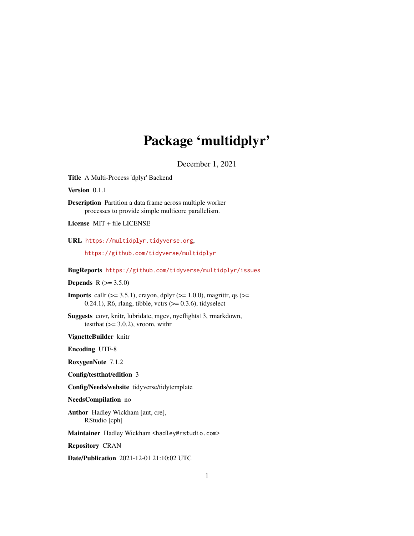# Package 'multidplyr'

December 1, 2021

Title A Multi-Process 'dplyr' Backend

Version 0.1.1

Description Partition a data frame across multiple worker processes to provide simple multicore parallelism.

License MIT + file LICENSE

URL <https://multidplyr.tidyverse.org>,

<https://github.com/tidyverse/multidplyr>

BugReports <https://github.com/tidyverse/multidplyr/issues>

# **Depends** R  $(>= 3.5.0)$

**Imports** callr ( $> = 3.5.1$ ), crayon, dplyr ( $> = 1.0.0$ ), magrittr, qs ( $> =$  $0.24.1$ ), R6, rlang, tibble, vctrs ( $> = 0.3.6$ ), tidyselect

Suggests covr, knitr, lubridate, mgcv, nycflights13, rmarkdown, testthat  $(>= 3.0.2)$ , vroom, with r

VignetteBuilder knitr

Encoding UTF-8

RoxygenNote 7.1.2

Config/testthat/edition 3

Config/Needs/website tidyverse/tidytemplate

NeedsCompilation no

Author Hadley Wickham [aut, cre], RStudio [cph]

Maintainer Hadley Wickham <hadley@rstudio.com>

Repository CRAN

Date/Publication 2021-12-01 21:10:02 UTC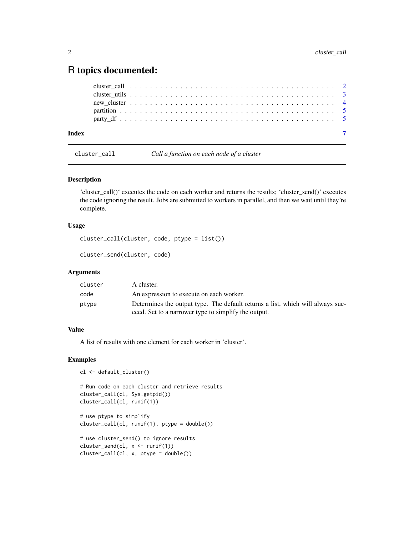# <span id="page-1-0"></span>R topics documented:

| Index |  |  |  |  |  |  |  |  |  |  |  |  |  |  |  |  |  |
|-------|--|--|--|--|--|--|--|--|--|--|--|--|--|--|--|--|--|
|       |  |  |  |  |  |  |  |  |  |  |  |  |  |  |  |  |  |
|       |  |  |  |  |  |  |  |  |  |  |  |  |  |  |  |  |  |
|       |  |  |  |  |  |  |  |  |  |  |  |  |  |  |  |  |  |
|       |  |  |  |  |  |  |  |  |  |  |  |  |  |  |  |  |  |
|       |  |  |  |  |  |  |  |  |  |  |  |  |  |  |  |  |  |

cluster\_call *Call a function on each node of a cluster*

# Description

'cluster\_call()' executes the code on each worker and returns the results; 'cluster\_send()' executes the code ignoring the result. Jobs are submitted to workers in parallel, and then we wait until they're complete.

# Usage

```
cluster_call(cluster, code, ptype = list())
```

```
cluster_send(cluster, code)
```
# Arguments

| cluster | A cluster.                                                                                                                             |
|---------|----------------------------------------------------------------------------------------------------------------------------------------|
| code    | An expression to execute on each worker.                                                                                               |
| ptype   | Determines the output type. The default returns a list, which will always suc-<br>ceed. Set to a narrower type to simplify the output. |

# Value

A list of results with one element for each worker in 'cluster'.

#### Examples

```
cl <- default_cluster()
```

```
# Run code on each cluster and retrieve results
cluster_call(cl, Sys.getpid())
cluster_call(cl, runif(1))
```

```
# use ptype to simplify
cluster_call(cl, runif(1), ptype = double())
```

```
# use cluster_send() to ignore results
cluster_send(cl, x <- runif(1))
cluster_call(cl, x, ptype = double())
```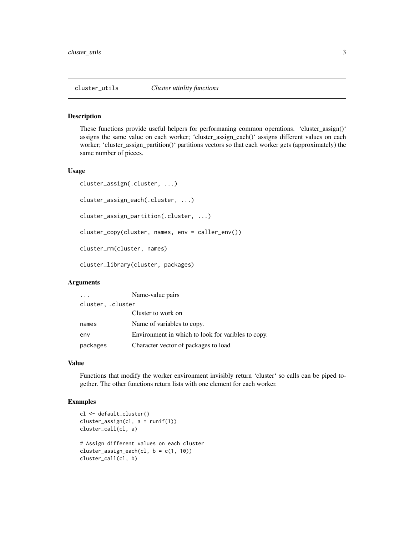<span id="page-2-0"></span>

#### Description

These functions provide useful helpers for performaning common operations. 'cluster\_assign()' assigns the same value on each worker; 'cluster\_assign\_each()' assigns different values on each worker; 'cluster\_assign\_partition()' partitions vectors so that each worker gets (approximately) the same number of pieces.

#### Usage

```
cluster_assign(.cluster, ...)
cluster_assign_each(.cluster, ...)
cluster_assign_partition(.cluster, ...)
cluster_copy(cluster, names, env = caller_env())
cluster_rm(cluster, names)
cluster_library(cluster, packages)
```
#### Arguments

|                  | Name-value pairs                                   |  |  |  |  |  |
|------------------|----------------------------------------------------|--|--|--|--|--|
| cluster, cluster |                                                    |  |  |  |  |  |
|                  | Cluster to work on                                 |  |  |  |  |  |
| names            | Name of variables to copy.                         |  |  |  |  |  |
| env              | Environment in which to look for varibles to copy. |  |  |  |  |  |
| packages         | Character vector of packages to load               |  |  |  |  |  |

### Value

Functions that modify the worker environment invisibly return 'cluster' so calls can be piped together. The other functions return lists with one element for each worker.

# Examples

```
cl <- default_cluster()
cluster_assign(cl, a = runif(1))cluster_call(cl, a)
```

```
# Assign different values on each cluster
cluster_assign_each(cl, b = c(1, 10))
cluster_call(cl, b)
```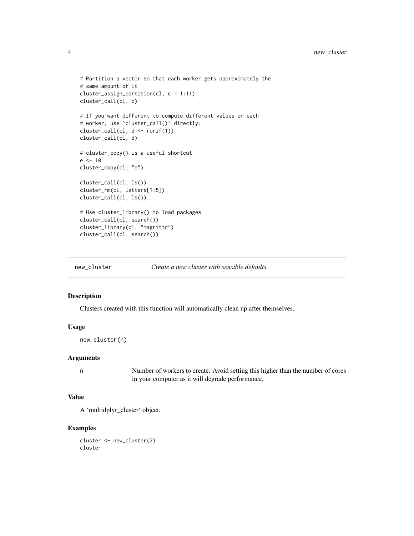```
# Partition a vector so that each worker gets approximately the
# same amount of it
cluster_assign_partition(cl, c = 1:11)
cluster_call(cl, c)
# If you want different to compute different values on each
# worker, use `cluster_call()` directly:
cluster_call(cl, d <- runif(1))
cluster_call(cl, d)
# cluster_copy() is a useful shortcut
e <- 10
cluster_copy(cl, "e")
cluster_call(cl, ls())
cluster_rm(cl, letters[1:5])
cluster_call(cl, ls())
# Use cluster_library() to load packages
cluster_call(cl, search())
cluster_library(cl, "magrittr")
cluster_call(cl, search())
```
new\_cluster *Create a new cluster with sensible defaults.*

#### Description

Clusters created with this function will automatically clean up after themselves.

#### Usage

new\_cluster(n)

#### Arguments

n Number of workers to create. Avoid setting this higher than the number of cores in your computer as it will degrade performance.

### Value

A 'multidplyr\_cluster' object.

# Examples

cluster <- new\_cluster(2) cluster

<span id="page-3-0"></span>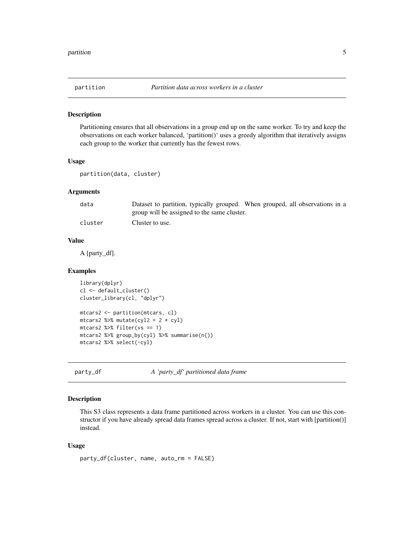<span id="page-4-0"></span>

#### Description

Partitioning ensures that all observations in a group end up on the same worker. To try and keep the observations on each worker balanced, 'partition()' uses a greedy algorithm that iteratively assigns each group to the worker that currently has the fewest rows.

#### Usage

```
partition(data, cluster)
```
# Arguments

| data    | Dataset to partition, typically grouped. When grouped, all observations in a |
|---------|------------------------------------------------------------------------------|
|         | group will be assigned to the same cluster.                                  |
| cluster | Cluster to use.                                                              |

#### Value

A [party\_df].

#### Examples

```
library(dplyr)
cl <- default_cluster()
cluster_library(cl, "dplyr")
mtcars2 <- partition(mtcars, cl)
mtcars2 %>% mutate(cyl2 = 2 * cyl)
mtcars2 %>% filter(vs == 1)
mtcars2 %>% group_by(cyl) %>% summarise(n())
mtcars2 %>% select(-cyl)
```
party\_df *A 'party\_df' partitioned data frame*

# Description

This S3 class represents a data frame partitioned across workers in a cluster. You can use this constructor if you have already spread data frames spread across a cluster. If not, start with [partition()] instead.

#### Usage

party\_df(cluster, name, auto\_rm = FALSE)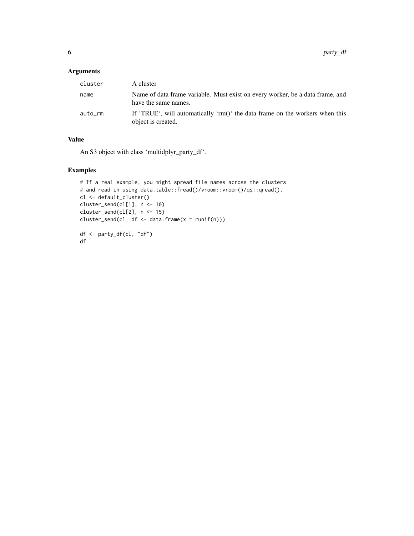# Arguments

| cluster | A cluster                                                                                             |
|---------|-------------------------------------------------------------------------------------------------------|
| name    | Name of data frame variable. Must exist on every worker, be a data frame, and<br>have the same names. |
| auto_rm | If 'TRUE', will automatically 'rm()' the data frame on the workers when this<br>object is created.    |

### Value

An S3 object with class 'multidplyr\_party\_df'.

# Examples

```
# If a real example, you might spread file names across the clusters
# and read in using data.table::fread()/vroom::vroom()/qs::qread().
cl <- default_cluster()
cluster_send(cl[1], n <- 10)
cluster_send(cl[2], n <- 15)
cluster_send(cl, df <- data.frame(x = runif(n)))
df <- party_df(cl, "df")
df
```